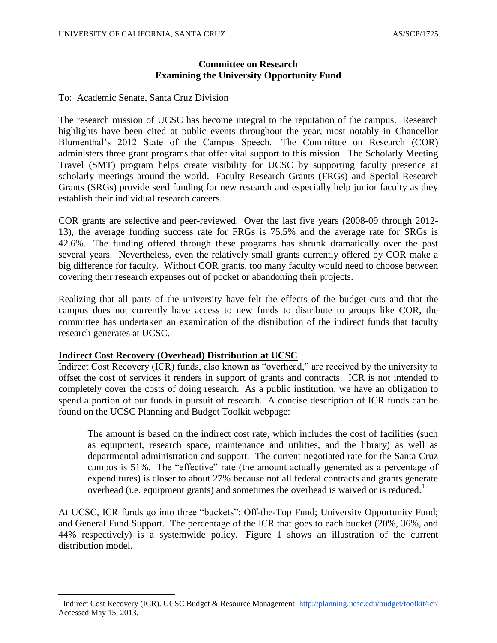#### **Committee on Research Examining the University Opportunity Fund**

To: Academic Senate, Santa Cruz Division

The research mission of UCSC has become integral to the reputation of the campus. Research highlights have been cited at public events throughout the year, most notably in Chancellor Blumenthal's 2012 State of the Campus Speech. The Committee on Research (COR) administers three grant programs that offer vital support to this mission. The Scholarly Meeting Travel (SMT) program helps create visibility for UCSC by supporting faculty presence at scholarly meetings around the world. Faculty Research Grants (FRGs) and Special Research Grants (SRGs) provide seed funding for new research and especially help junior faculty as they establish their individual research careers.

COR grants are selective and peer-reviewed. Over the last five years (2008-09 through 2012- 13), the average funding success rate for FRGs is 75.5% and the average rate for SRGs is 42.6%. The funding offered through these programs has shrunk dramatically over the past several years. Nevertheless, even the relatively small grants currently offered by COR make a big difference for faculty. Without COR grants, too many faculty would need to choose between covering their research expenses out of pocket or abandoning their projects.

Realizing that all parts of the university have felt the effects of the budget cuts and that the campus does not currently have access to new funds to distribute to groups like COR, the committee has undertaken an examination of the distribution of the indirect funds that faculty research generates at UCSC.

#### **Indirect Cost Recovery (Overhead) Distribution at UCSC**

Indirect Cost Recovery (ICR) funds, also known as "overhead," are received by the university to offset the cost of services it renders in support of grants and contracts. ICR is not intended to completely cover the costs of doing research. As a public institution, we have an obligation to spend a portion of our funds in pursuit of research. A concise description of ICR funds can be found on the UCSC Planning and Budget Toolkit webpage:

The amount is based on the indirect cost rate, which includes the cost of facilities (such as equipment, research space, maintenance and utilities, and the library) as well as departmental administration and support. The current negotiated rate for the Santa Cruz campus is 51%. The "effective" rate (the amount actually generated as a percentage of expenditures) is closer to about 27% because not all federal contracts and grants generate overhead (i.e. equipment grants) and sometimes the overhead is waived or is reduced.<sup>1</sup>

At UCSC, ICR funds go into three "buckets": Off-the-Top Fund; University Opportunity Fund; and General Fund Support. The percentage of the ICR that goes to each bucket (20%, 36%, and 44% respectively) is a systemwide policy. Figure 1 shows an illustration of the current distribution model.

<sup>1&</sup>lt;br>
<sup>1</sup> Indirect Cost Recovery (ICR). UCSC Budget & Resource Management: <http://planning.ucsc.edu/budget/toolkit/icr/> Accessed May 15, 2013.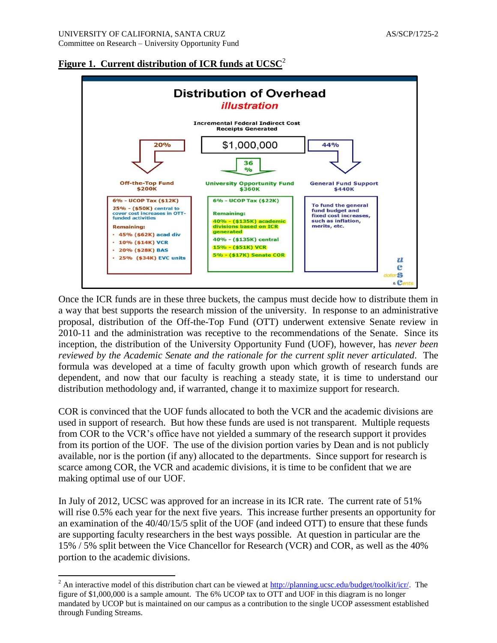

**Figure 1. Current distribution of ICR funds at UCSC**<sup>2</sup>

Once the ICR funds are in these three buckets, the campus must decide how to distribute them in a way that best supports the research mission of the university. In response to an administrative proposal, distribution of the Off-the-Top Fund (OTT) underwent extensive Senate review in 2010-11 and the administration was receptive to the recommendations of the Senate. Since its inception, the distribution of the University Opportunity Fund (UOF), however, has *never been reviewed by the Academic Senate and the rationale for the current split never articulated*. The formula was developed at a time of faculty growth upon which growth of research funds are dependent, and now that our faculty is reaching a steady state, it is time to understand our distribution methodology and, if warranted, change it to maximize support for research.

COR is convinced that the UOF funds allocated to both the VCR and the academic divisions are used in support of research. But how these funds are used is not transparent. Multiple requests from COR to the VCR's office have not yielded a summary of the research support it provides from its portion of the UOF. The use of the division portion varies by Dean and is not publicly available, nor is the portion (if any) allocated to the departments. Since support for research is scarce among COR, the VCR and academic divisions, it is time to be confident that we are making optimal use of our UOF.

In July of 2012, UCSC was approved for an increase in its ICR rate. The current rate of 51% will rise 0.5% each year for the next five years. This increase further presents an opportunity for an examination of the 40/40/15/5 split of the UOF (and indeed OTT) to ensure that these funds are supporting faculty researchers in the best ways possible. At question in particular are the 15% / 5% split between the Vice Chancellor for Research (VCR) and COR, as well as the 40% portion to the academic divisions.

 $\overline{\phantom{a}}$ 

<sup>&</sup>lt;sup>2</sup> An interactive model of this distribution chart can be viewed at [http://planning.ucsc.edu/budget/toolkit/icr/.](http://planning.ucsc.edu/budget/toolkit/icr/) The figure of \$1,000,000 is a sample amount. The 6% UCOP tax to OTT and UOF in this diagram is no longer mandated by UCOP but is maintained on our campus as a contribution to the single UCOP assessment established through Funding Streams.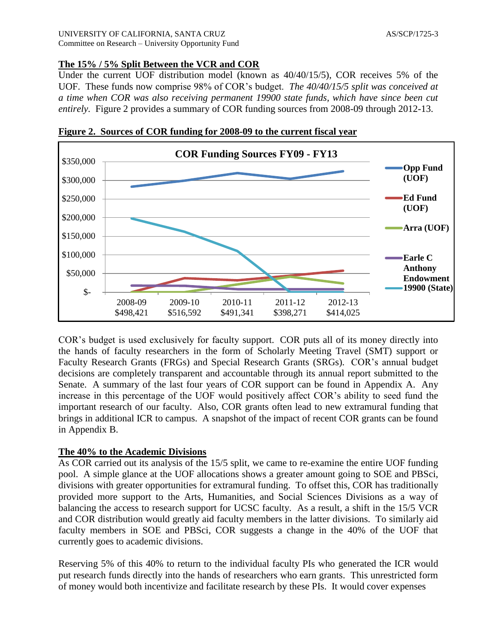### **The 15% / 5% Split Between the VCR and COR**

Under the current UOF distribution model (known as 40/40/15/5), COR receives 5% of the UOF. These funds now comprise 98% of COR's budget. *The 40/40/15/5 split was conceived at a time when COR was also receiving permanent 19900 state funds, which have since been cut entirely.* Figure 2 provides a summary of COR funding sources from 2008-09 through 2012-13.



**Figure 2. Sources of COR funding for 2008-09 to the current fiscal year**

COR's budget is used exclusively for faculty support. COR puts all of its money directly into the hands of faculty researchers in the form of Scholarly Meeting Travel (SMT) support or Faculty Research Grants (FRGs) and Special Research Grants (SRGs). COR's annual budget decisions are completely transparent and accountable through its annual report submitted to the Senate. A summary of the last four years of COR support can be found in Appendix A. Any increase in this percentage of the UOF would positively affect COR's ability to seed fund the important research of our faculty. Also, COR grants often lead to new extramural funding that brings in additional ICR to campus. A snapshot of the impact of recent COR grants can be found in Appendix B.

#### **The 40% to the Academic Divisions**

As COR carried out its analysis of the 15/5 split, we came to re-examine the entire UOF funding pool. A simple glance at the UOF allocations shows a greater amount going to SOE and PBSci, divisions with greater opportunities for extramural funding. To offset this, COR has traditionally provided more support to the Arts, Humanities, and Social Sciences Divisions as a way of balancing the access to research support for UCSC faculty. As a result, a shift in the 15/5 VCR and COR distribution would greatly aid faculty members in the latter divisions. To similarly aid faculty members in SOE and PBSci, COR suggests a change in the 40% of the UOF that currently goes to academic divisions.

Reserving 5% of this 40% to return to the individual faculty PIs who generated the ICR would put research funds directly into the hands of researchers who earn grants. This unrestricted form of money would both incentivize and facilitate research by these PIs. It would cover expenses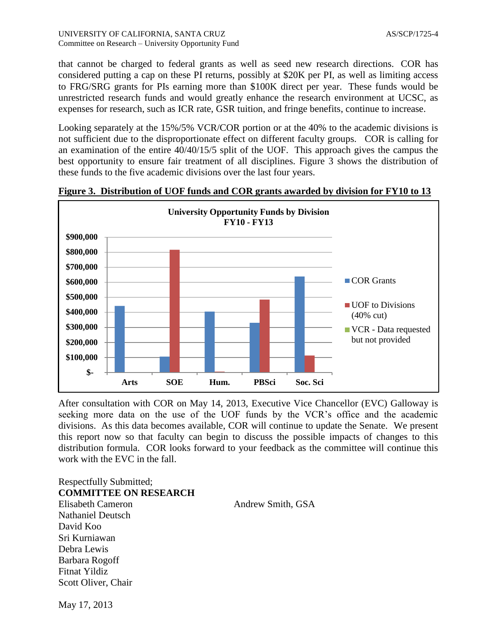that cannot be charged to federal grants as well as seed new research directions. COR has considered putting a cap on these PI returns, possibly at \$20K per PI, as well as limiting access to FRG/SRG grants for PIs earning more than \$100K direct per year. These funds would be unrestricted research funds and would greatly enhance the research environment at UCSC, as expenses for research, such as ICR rate, GSR tuition, and fringe benefits, continue to increase.

Looking separately at the 15%/5% VCR/COR portion or at the 40% to the academic divisions is not sufficient due to the disproportionate effect on different faculty groups. COR is calling for an examination of the entire 40/40/15/5 split of the UOF. This approach gives the campus the best opportunity to ensure fair treatment of all disciplines. Figure 3 shows the distribution of these funds to the five academic divisions over the last four years.



**Figure 3. Distribution of UOF funds and COR grants awarded by division for FY10 to 13**

After consultation with COR on May 14, 2013, Executive Vice Chancellor (EVC) Galloway is seeking more data on the use of the UOF funds by the VCR's office and the academic divisions. As this data becomes available, COR will continue to update the Senate. We present this report now so that faculty can begin to discuss the possible impacts of changes to this distribution formula. COR looks forward to your feedback as the committee will continue this work with the EVC in the fall.

Respectfully Submitted; **COMMITTEE ON RESEARCH** Elisabeth Cameron Andrew Smith, GSA Nathaniel Deutsch David Koo Sri Kurniawan Debra Lewis Barbara Rogoff Fitnat Yildiz Scott Oliver, Chair

May 17, 2013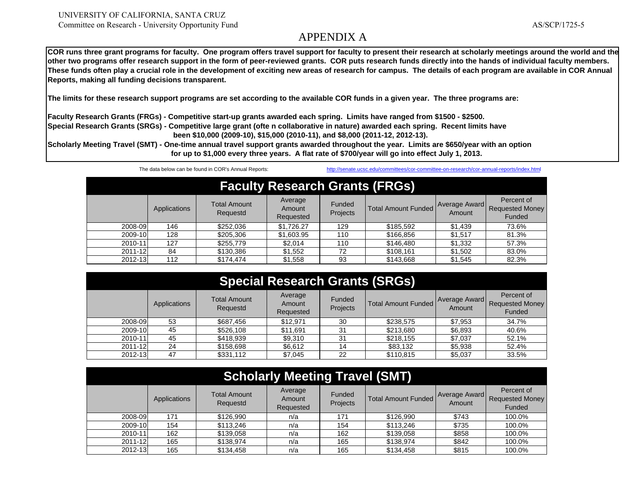AS/SCP/1725-5

**other two programs offer research support in the form of peer-reviewed grants. COR puts research funds directly into the hands of individual faculty members. These funds often play a crucial role in the development of exciting new areas of research for campus. The details of each program are available in COR Annual Reports, making all funding decisions transparent.** 

**The limits for these research support programs are set according to the available COR funds in a given year. The three programs are:**

**Faculty Research Grants (FRGs) - Competitive start-up grants awarded each spring. Limits have ranged from \$1500 - \$2500. Special Research Grants (SRGs) - Competitive large grant (ofte n collaborative in nature) awarded each spring. Recent limits have been \$10,000 (2009-10), \$15,000 (2010-11), and \$8,000 (2011-12, 2012-13).**

**Scholarly Meeting Travel (SMT) - One-time annual travel support grants awarded throughout the year. Limits are \$650/year with an option for up to \$1,000 every three years. A flat rate of \$700/year will go into effect July 1, 2013.**

The data below can be found in COR's Annual Reports: http://senate.ucsc.edu/committees/cor-committee-on-research/cor-annual-reports/index.html

| <b>Faculty Research Grants (FRGs)</b> |              |                                 |                                |                    |                            |                         |                                                |  |
|---------------------------------------|--------------|---------------------------------|--------------------------------|--------------------|----------------------------|-------------------------|------------------------------------------------|--|
|                                       | Applications | <b>Total Amount</b><br>Requestd | Average<br>Amount<br>Requested | Funded<br>Projects | <b>Total Amount Funded</b> | Average Award<br>Amount | Percent of<br><b>Requested Money</b><br>Funded |  |
| 2008-09                               | 146          | \$252,036                       | \$1.726.27                     | 129                | \$185.592                  | \$1,439                 | 73.6%                                          |  |
| 2009-10                               | 128          | \$205,306                       | \$1,603.95                     | 110                | \$166.856                  | \$1.517                 | 81.3%                                          |  |
| 2010-11                               | 127          | \$255,779                       | \$2.014                        | 110                | \$146,480                  | \$1,332                 | 57.3%                                          |  |
| 2011-12                               | 84           | \$130,386                       | \$1,552                        | 72                 | \$108,161                  | \$1,502                 | 83.0%                                          |  |
| 2012-13                               | 112          | \$174,474                       | \$1,558                        | 93                 | \$143,668                  | \$1,545                 | 82.3%                                          |  |

| <b>Special Research Grants (SRGs)</b> |              |                                 |                                |                           |                            |                         |                                                |  |
|---------------------------------------|--------------|---------------------------------|--------------------------------|---------------------------|----------------------------|-------------------------|------------------------------------------------|--|
|                                       | Applications | <b>Total Amount</b><br>Requestd | Average<br>Amount<br>Requested | <b>Funded</b><br>Projects | <b>Total Amount Funded</b> | Average Award<br>Amount | Percent of<br><b>Requested Money</b><br>Funded |  |
| 2008-09                               | 53           | \$687,456                       | \$12.971                       | 30                        | \$238,575                  | \$7,953                 | 34.7%                                          |  |
| 2009-10                               | 45           | \$526,108                       | \$11,691                       | 31                        | \$213,680                  | \$6,893                 | 40.6%                                          |  |
| 2010-11                               | 45           | \$418,939                       | \$9,310                        | 31                        | \$218,155                  | \$7.037                 | 52.1%                                          |  |
| 2011-12                               | 24           | \$158,698                       | \$6.612                        | 14                        | \$83,132                   | \$5,938                 | 52.4%                                          |  |
| 2012-13                               | 47           | \$331,112                       | \$7,045                        | 22                        | \$110,815                  | \$5,037                 | 33.5%                                          |  |

| <b>Scholarly Meeting Travel (SMT)</b> |              |                                 |                                |                           |                            |                                |                                                |  |
|---------------------------------------|--------------|---------------------------------|--------------------------------|---------------------------|----------------------------|--------------------------------|------------------------------------------------|--|
|                                       | Applications | <b>Total Amount</b><br>Requestd | Average<br>Amount<br>Requested | <b>Funded</b><br>Projects | <b>Total Amount Funded</b> | <b>Average Award</b><br>Amount | Percent of<br><b>Requested Money</b><br>Funded |  |
| 2008-09                               | 171          | \$126.990                       | n/a                            | 171                       | \$126,990                  | \$743                          | 100.0%                                         |  |
| 2009-10                               | 154          | \$113,246                       | n/a                            | 154                       | \$113,246                  | \$735                          | 100.0%                                         |  |
| 2010-11                               | 162          | \$139,058                       | n/a                            | 162                       | \$139,058                  | \$858                          | 100.0%                                         |  |
| 2011-12                               | 165          | \$138,974                       | n/a                            | 165                       | \$138,974                  | \$842                          | 100.0%                                         |  |
| 2012-13                               | 165          | \$134.458                       | n/a                            | 165                       | \$134,458                  | \$815                          | 100.0%                                         |  |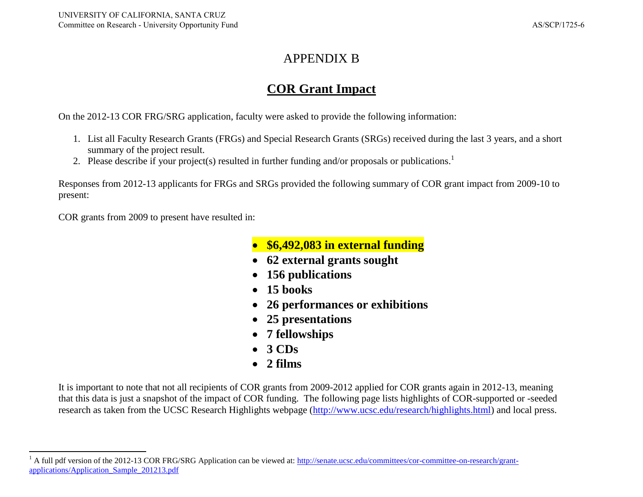### APPENDIX B

### **COR Grant Impact**

On the 2012-13 COR FRG/SRG application, faculty were asked to provide the following information:

- 1. List all Faculty Research Grants (FRGs) and Special Research Grants (SRGs) received during the last 3 years, and a short summary of the project result.
- 2. Please describe if your project(s) resulted in further funding and/or proposals or publications.<sup>1</sup>

Responses from 2012-13 applicants for FRGs and SRGs provided the following summary of COR grant impact from 2009-10 to present:

COR grants from 2009 to present have resulted in:

- **\$6,492,083 in external funding**
- **62 external grants sought**
- **156 publications**
- **15 books**
- **26 performances or exhibitions**
- **25 presentations**
- **7 fellowships**
- **3 CDs**
- **2 films**

It is important to note that not all recipients of COR grants from 2009-2012 applied for COR grants again in 2012-13, meaning that this data is just a snapshot of the impact of COR funding. The following page lists highlights of COR-supported or -seeded research as taken from the UCSC Research Highlights webpage [\(http://www.ucsc.edu/research/highlights.html\)](http://www.ucsc.edu/research/highlights.html) and local press.

 $\overline{\phantom{a}}$ <sup>1</sup> A full pdf version of the 2012-13 COR FRG/SRG Application can be viewed at: [http://senate.ucsc.edu/committees/cor-committee-on-research/grant](http://senate.ucsc.edu/committees/cor-committee-on-research/grant-applications/Application_Sample_201213.pdf)[applications/Application\\_Sample\\_201213.pdf](http://senate.ucsc.edu/committees/cor-committee-on-research/grant-applications/Application_Sample_201213.pdf)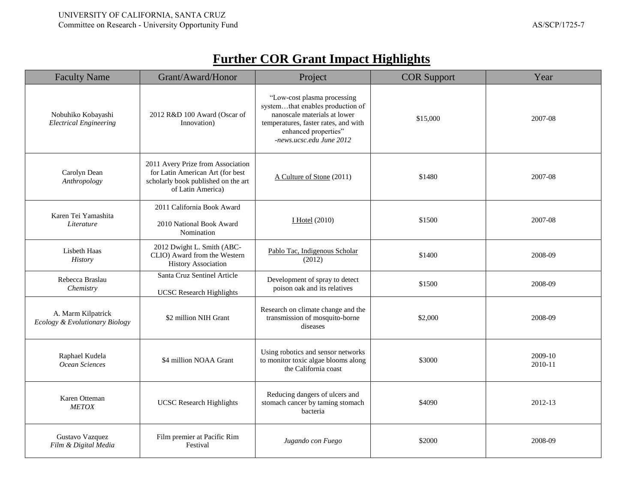| <b>Faculty Name</b>                                  | Grant/Award/Honor                                                                                                                 | Project                                                                                                                                                                                     | <b>COR Support</b> | Year               |
|------------------------------------------------------|-----------------------------------------------------------------------------------------------------------------------------------|---------------------------------------------------------------------------------------------------------------------------------------------------------------------------------------------|--------------------|--------------------|
| Nobuhiko Kobayashi<br><b>Electrical Engineering</b>  | 2012 R&D 100 Award (Oscar of<br>Innovation)                                                                                       | "Low-cost plasma processing<br>systemthat enables production of<br>nanoscale materials at lower<br>temperatures, faster rates, and with<br>enhanced properties"<br>-news.ucsc.edu June 2012 | \$15,000           | 2007-08            |
| Carolyn Dean<br>Anthropology                         | 2011 Avery Prize from Association<br>for Latin American Art (for best<br>scholarly book published on the art<br>of Latin America) | A Culture of Stone (2011)                                                                                                                                                                   | \$1480             | 2007-08            |
| Karen Tei Yamashita<br>Literature                    | 2011 California Book Award<br>2010 National Book Award<br>Nomination                                                              | $I$ Hotel (2010)                                                                                                                                                                            | \$1500             | 2007-08            |
| Lisbeth Haas<br>History                              | 2012 Dwight L. Smith (ABC-<br>CLIO) Award from the Western<br><b>History Association</b>                                          | Pablo Tac, Indigenous Scholar<br>(2012)                                                                                                                                                     | \$1400             | 2008-09            |
| Rebecca Braslau<br>Chemistry                         | Santa Cruz Sentinel Article<br><b>UCSC</b> Research Highlights                                                                    | Development of spray to detect<br>poison oak and its relatives                                                                                                                              | \$1500             | 2008-09            |
| A. Marm Kilpatrick<br>Ecology & Evolutionary Biology | \$2 million NIH Grant                                                                                                             | Research on climate change and the<br>transmission of mosquito-borne<br>diseases                                                                                                            | \$2,000            | 2008-09            |
| Raphael Kudela<br>Ocean Sciences                     | \$4 million NOAA Grant                                                                                                            | Using robotics and sensor networks<br>to monitor toxic algae blooms along<br>the California coast                                                                                           | \$3000             | 2009-10<br>2010-11 |
| Karen Otteman<br><b>METOX</b>                        | <b>UCSC</b> Research Highlights                                                                                                   | Reducing dangers of ulcers and<br>stomach cancer by taming stomach<br>bacteria                                                                                                              | \$4090             | 2012-13            |
| Gustavo Vazquez<br>Film & Digital Media              | Film premier at Pacific Rim<br>Festival                                                                                           | Jugando con Fuego                                                                                                                                                                           | \$2000             | 2008-09            |

# **Further COR Grant Impact Highlights**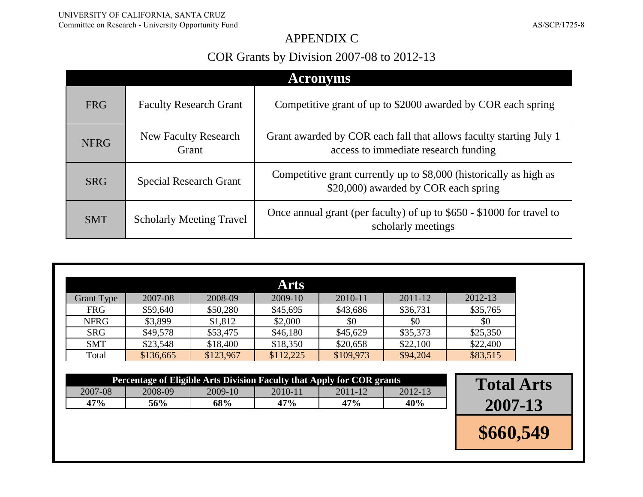### APPENDIX C

## COR Grants by Division 2007-08 to 2012-13

|             | <b>Acronyms</b>                      |                                                                                                            |  |  |  |  |  |  |
|-------------|--------------------------------------|------------------------------------------------------------------------------------------------------------|--|--|--|--|--|--|
| <b>FRG</b>  | <b>Faculty Research Grant</b>        | Competitive grant of up to \$2000 awarded by COR each spring                                               |  |  |  |  |  |  |
| <b>NFRG</b> | <b>New Faculty Research</b><br>Grant | Grant awarded by COR each fall that allows faculty starting July 1<br>access to immediate research funding |  |  |  |  |  |  |
| <b>SRG</b>  | <b>Special Research Grant</b>        | Competitive grant currently up to \$8,000 (historically as high as<br>\$20,000) awarded by COR each spring |  |  |  |  |  |  |
| <b>SMT</b>  | <b>Scholarly Meeting Travel</b>      | Once annual grant (per faculty) of up to \$650 - \$1000 for travel to<br>scholarly meetings                |  |  |  |  |  |  |

|                   |           |           | <b>Arts</b> |           |          |          |
|-------------------|-----------|-----------|-------------|-----------|----------|----------|
| <b>Grant Type</b> | 2007-08   | 2008-09   | 2009-10     | 2010-11   | 2011-12  | 2012-13  |
| <b>FRG</b>        | \$59,640  | \$50,280  | \$45,695    | \$43,686  | \$36,731 | \$35,765 |
| <b>NFRG</b>       | \$3,899   | \$1,812   | \$2,000     | \$0       | \$0      | \$0      |
| <b>SRG</b>        | \$49,578  | \$53,475  | \$46,180    | \$45,629  | \$35,373 | \$25,350 |
| <b>SMT</b>        | \$23,548  | \$18,400  | \$18,350    | \$20,658  | \$22,100 | \$22,400 |
| Total             | \$136,665 | \$123,967 | \$112,225   | \$109,973 | \$94,204 | \$83,515 |
|                   |           |           |             |           |          |          |

| Percentage of Eligible Arts Division Faculty that Apply for COR grants |                                                         |  |  |  |  |  |  |  |
|------------------------------------------------------------------------|---------------------------------------------------------|--|--|--|--|--|--|--|
| 2007-08                                                                | 2008-09<br>$2012 - 13$<br>2009-10<br>2010-11<br>2011-12 |  |  |  |  |  |  |  |
| 47%<br>$47\%$<br>68%<br>47%<br>40%<br>56%                              |                                                         |  |  |  |  |  |  |  |

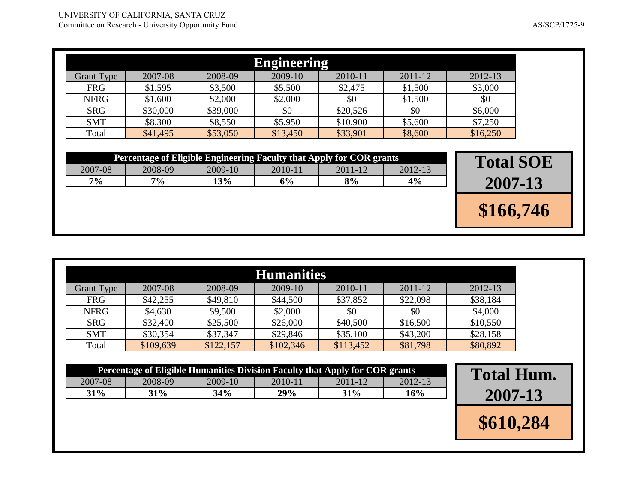|                   |                                                                      |          | <b>Engineering</b> |          |             |                  |  |
|-------------------|----------------------------------------------------------------------|----------|--------------------|----------|-------------|------------------|--|
| <b>Grant Type</b> | 2007-08                                                              | 2008-09  | 2009-10            | 2010-11  | $2011 - 12$ | 2012-13          |  |
| <b>FRG</b>        | \$1,595                                                              | \$3,500  | \$5,500            | \$2,475  | \$1,500     | \$3,000          |  |
| <b>NFRG</b>       | \$1,600                                                              | \$2,000  | \$2,000            | \$0      | \$1,500     | \$0              |  |
| <b>SRG</b>        | \$30,000                                                             | \$39,000 | \$0                | \$20,526 | \$0         | \$6,000          |  |
| <b>SMT</b>        | \$8,300                                                              | \$8,550  | \$5,950            | \$10,900 | \$5,600     | \$7,250          |  |
| Total             | \$41,495                                                             | \$53,050 | \$13,450           | \$33,901 | \$8,600     | \$16,250         |  |
|                   |                                                                      |          |                    |          |             | <b>Total SOE</b> |  |
| 2007-08           | Percentage of Eligible Engineering Faculty that Apply for COR grants |          |                    |          |             |                  |  |
|                   | 2008-09                                                              | 2009-10  | 2010-11            | 2011-12  | $2012 - 13$ |                  |  |
| 7%                | 7%                                                                   | 13%      | 6%                 | 8%       | 4%          | 2007-13          |  |

| <b>Humanities</b> |           |           |           |           |          |          |  |
|-------------------|-----------|-----------|-----------|-----------|----------|----------|--|
| <b>Grant Type</b> | 2007-08   | 2008-09   | 2009-10   | 2010-11   | 2011-12  | 2012-13  |  |
| <b>FRG</b>        | \$42,255  | \$49,810  | \$44,500  | \$37,852  | \$22,098 | \$38,184 |  |
| <b>NFRG</b>       | \$4,630   | \$9,500   | \$2,000   | \$0       | \$0      | \$4,000  |  |
| <b>SRG</b>        | \$32,400  | \$25,500  | \$26,000  | \$40,500  | \$16,500 | \$10,550 |  |
| <b>SMT</b>        | \$30,354  | \$37,347  | \$29,846  | \$35,100  | \$43,200 | \$28,158 |  |
| Total             | \$109,639 | \$122,157 | \$102,346 | \$113,452 | \$81,798 | \$80,892 |  |

| Percentage of Eligible Humanities Division Faculty that Apply for COR grants |                                                             |  |  |  |  |  |  |  |  |
|------------------------------------------------------------------------------|-------------------------------------------------------------|--|--|--|--|--|--|--|--|
| 2007-08                                                                      | 2010-11<br>$2012 - 13$<br>2008-09<br>2009-10<br>$2011 - 12$ |  |  |  |  |  |  |  |  |
| 34%<br><b>29%</b><br>$31\%$<br>$31\%$<br>31%<br>16%                          |                                                             |  |  |  |  |  |  |  |  |

**Percentage 1 2007-13 \$610,284**

**\$166,746**